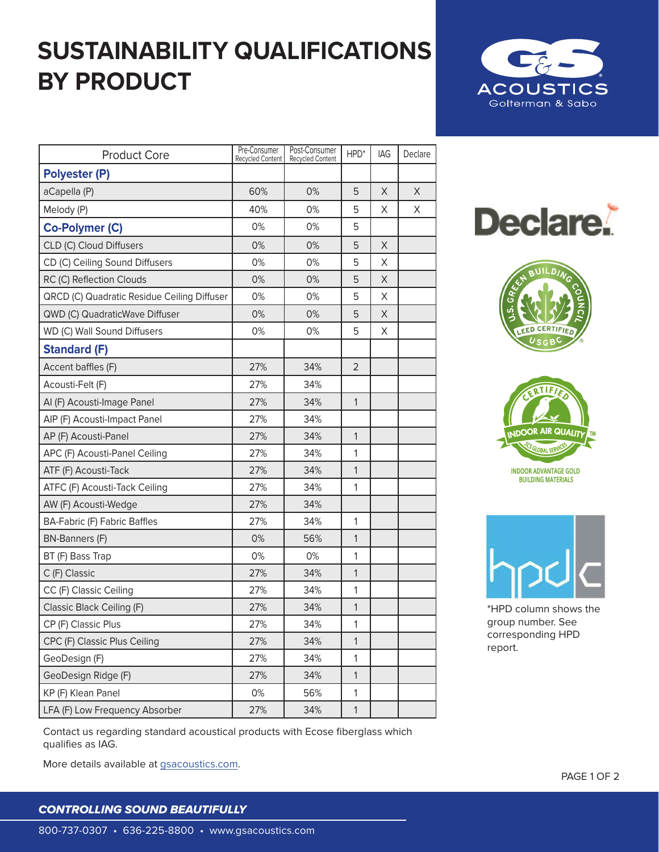## **SUSTAINABILITY QUALIFICATIONS BY PRODUCT**



| <b>Product Core</b>                         | Pre-Consumer<br>Recycled Content | Post-Consumer<br><b>Recycled Content</b> | HPD*           | IAG | Declare |
|---------------------------------------------|----------------------------------|------------------------------------------|----------------|-----|---------|
| <b>Polyester (P)</b>                        |                                  |                                          |                |     |         |
| aCapella (P)                                | 60%                              | 0%                                       | 5              | X   | X       |
| Melody (P)                                  | 40%                              | 0%                                       | 5              | X   | X       |
| Co-Polymer (C)                              | 0%                               | 0%                                       | 5              |     |         |
| CLD (C) Cloud Diffusers                     | 0%                               | 0%                                       | 5              | X   |         |
| CD (C) Ceiling Sound Diffusers              | 0%                               | 0%                                       | 5              | X   |         |
| RC (C) Reflection Clouds                    | 0%                               | 0%                                       | 5              | X   |         |
| QRCD (C) Quadratic Residue Ceiling Diffuser | 0%                               | 0%                                       | 5              | X   |         |
| QWD (C) QuadraticWave Diffuser              | 0%                               | 0%                                       | 5              | X.  |         |
| WD (C) Wall Sound Diffusers                 | 0%                               | 0%                                       | 5              | X   |         |
| <b>Standard (F)</b>                         |                                  |                                          |                |     |         |
| Accent baffles (F)                          | 27%                              | 34%                                      | $\overline{2}$ |     |         |
| Acousti-Felt (F)                            | 27%                              | 34%                                      |                |     |         |
| Al (F) Acousti-Image Panel                  | 27%                              | 34%                                      | $\mathbf{1}$   |     |         |
| AIP (F) Acousti-Impact Panel                | 27%                              | 34%                                      |                |     |         |
| AP (F) Acousti-Panel                        | 27%                              | 34%                                      | 1              |     |         |
| APC (F) Acousti-Panel Ceiling               | 27%                              | 34%                                      | 1              |     |         |
| ATF (F) Acousti-Tack                        | 27%                              | 34%                                      | 1              |     |         |
| ATFC (F) Acousti-Tack Ceiling               | 27%                              | 34%                                      | 1              |     |         |
| AW (F) Acousti-Wedge                        | 27%                              | 34%                                      |                |     |         |
| <b>BA-Fabric (F) Fabric Baffles</b>         | 27%                              | 34%                                      | $\mathbf{1}$   |     |         |
| <b>BN-Banners (F)</b>                       | 0%                               | 56%                                      | $\mathbf{1}$   |     |         |
| BT (F) Bass Trap                            | 0%                               | 0%                                       | 1              |     |         |
| C (F) Classic                               | 27%                              | 34%                                      | $\mathbf{1}$   |     |         |
| CC (F) Classic Ceiling                      | 27%                              | 34%                                      | 1              |     |         |
| Classic Black Ceiling (F)                   | 27%                              | 34%                                      | 1              |     |         |
| CP (F) Classic Plus                         | 27%                              | 34%                                      | $\mathbf{1}$   |     |         |
| CPC (F) Classic Plus Ceiling                | 27%                              | 34%                                      | 1              |     |         |
| GeoDesign (F)                               | 27%                              | 34%                                      | 1              |     |         |
| GeoDesign Ridge (F)                         | 27%                              | 34%                                      | $\mathbf{1}$   |     |         |
| KP (F) Klean Panel                          | 0%                               | 56%                                      | 1              |     |         |
| LFA (F) Low Frequency Absorber              | 27%                              | 34%                                      | $\mathbf 1$    |     |         |







**INDOOR ADVANTAGE GOLD BUILDING MATERIALS** 



\*HPD column shows the group number. See corresponding HPD report.

Contact us regarding standard acoustical products with Ecose fiberglass which qualifies as IAG.

More details available at [gsacoustics.com](http://gsacoustics.com).

## *CONTROLLING SOUND BEAUTIFULLY*